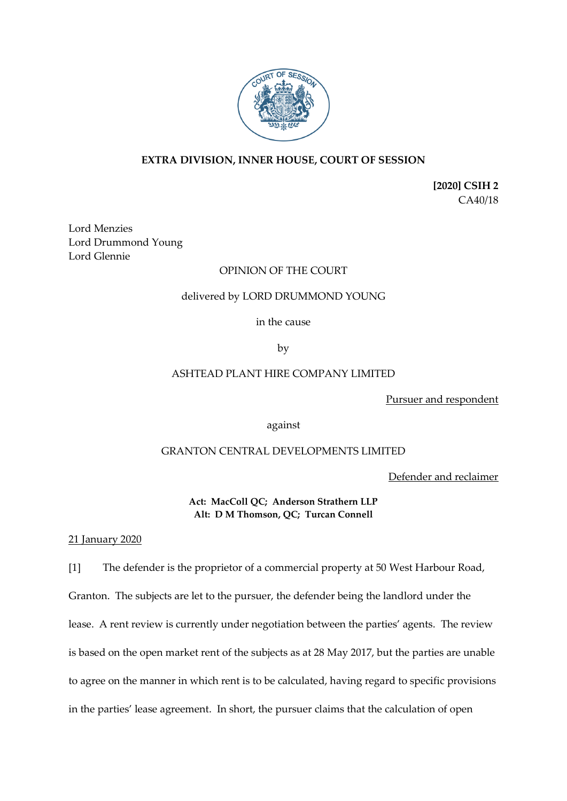

# **EXTRA DIVISION, INNER HOUSE, COURT OF SESSION**

**[2020] CSIH 2** CA40/18

Lord Menzies Lord Drummond Young Lord Glennie

# OPINION OF THE COURT

## delivered by LORD DRUMMOND YOUNG

in the cause

by

# ASHTEAD PLANT HIRE COMPANY LIMITED

Pursuer and respondent

against

## GRANTON CENTRAL DEVELOPMENTS LIMITED

Defender and reclaimer

**Act: MacColl QC; Anderson Strathern LLP Alt: D M Thomson, QC; Turcan Connell**

21 January 2020

[1] The defender is the proprietor of a commercial property at 50 West Harbour Road, Granton. The subjects are let to the pursuer, the defender being the landlord under the lease. A rent review is currently under negotiation between the parties' agents. The review is based on the open market rent of the subjects as at 28 May 2017, but the parties are unable to agree on the manner in which rent is to be calculated, having regard to specific provisions in the parties' lease agreement. In short, the pursuer claims that the calculation of open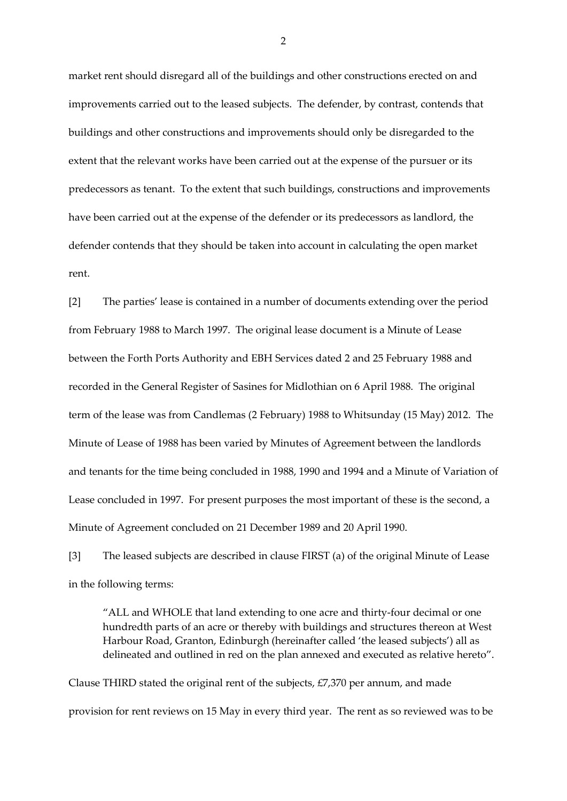market rent should disregard all of the buildings and other constructions erected on and improvements carried out to the leased subjects. The defender, by contrast, contends that buildings and other constructions and improvements should only be disregarded to the extent that the relevant works have been carried out at the expense of the pursuer or its predecessors as tenant. To the extent that such buildings, constructions and improvements have been carried out at the expense of the defender or its predecessors as landlord, the defender contends that they should be taken into account in calculating the open market rent.

[2] The parties' lease is contained in a number of documents extending over the period from February 1988 to March 1997. The original lease document is a Minute of Lease between the Forth Ports Authority and EBH Services dated 2 and 25 February 1988 and recorded in the General Register of Sasines for Midlothian on 6 April 1988. The original term of the lease was from Candlemas (2 February) 1988 to Whitsunday (15 May) 2012. The Minute of Lease of 1988 has been varied by Minutes of Agreement between the landlords and tenants for the time being concluded in 1988, 1990 and 1994 and a Minute of Variation of Lease concluded in 1997. For present purposes the most important of these is the second, a Minute of Agreement concluded on 21 December 1989 and 20 April 1990.

[3] The leased subjects are described in clause FIRST (a) of the original Minute of Lease in the following terms:

"ALL and WHOLE that land extending to one acre and thirty-four decimal or one hundredth parts of an acre or thereby with buildings and structures thereon at West Harbour Road, Granton, Edinburgh (hereinafter called 'the leased subjects') all as delineated and outlined in red on the plan annexed and executed as relative hereto".

Clause THIRD stated the original rent of the subjects,  $E7,370$  per annum, and made provision for rent reviews on 15 May in every third year. The rent as so reviewed was to be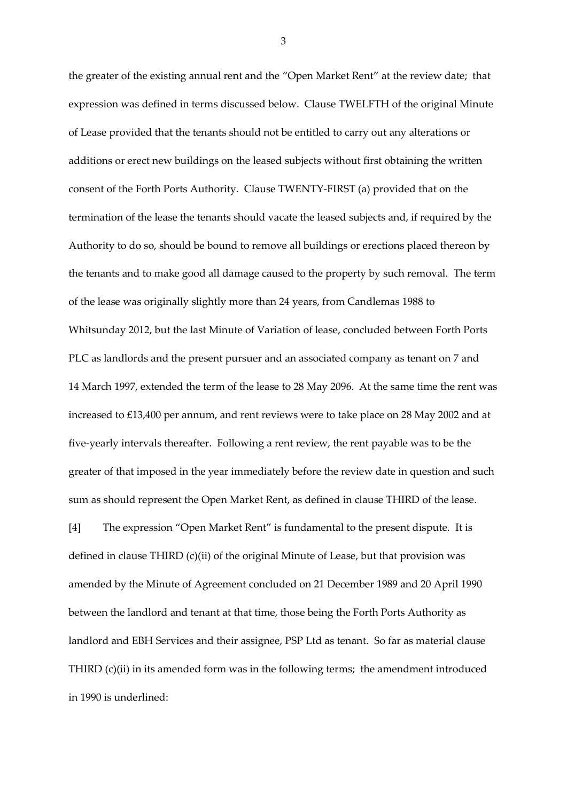the greater of the existing annual rent and the "Open Market Rent" at the review date; that expression was defined in terms discussed below. Clause TWELFTH of the original Minute of Lease provided that the tenants should not be entitled to carry out any alterations or additions or erect new buildings on the leased subjects without first obtaining the written consent of the Forth Ports Authority. Clause TWENTY-FIRST (a) provided that on the termination of the lease the tenants should vacate the leased subjects and, if required by the Authority to do so, should be bound to remove all buildings or erections placed thereon by the tenants and to make good all damage caused to the property by such removal. The term of the lease was originally slightly more than 24 years, from Candlemas 1988 to Whitsunday 2012, but the last Minute of Variation of lease, concluded between Forth Ports PLC as landlords and the present pursuer and an associated company as tenant on 7 and 14 March 1997, extended the term of the lease to 28 May 2096. At the same time the rent was increased to £13,400 per annum, and rent reviews were to take place on 28 May 2002 and at five-yearly intervals thereafter. Following a rent review, the rent payable was to be the greater of that imposed in the year immediately before the review date in question and such sum as should represent the Open Market Rent, as defined in clause THIRD of the lease.

[4] The expression "Open Market Rent" is fundamental to the present dispute. It is defined in clause THIRD (c)(ii) of the original Minute of Lease, but that provision was amended by the Minute of Agreement concluded on 21 December 1989 and 20 April 1990 between the landlord and tenant at that time, those being the Forth Ports Authority as landlord and EBH Services and their assignee, PSP Ltd as tenant. So far as material clause THIRD (c)(ii) in its amended form was in the following terms; the amendment introduced in 1990 is underlined: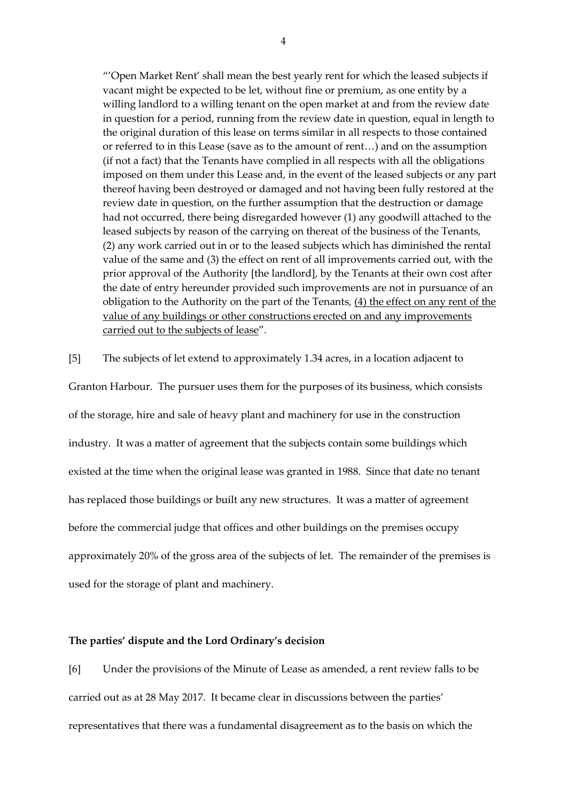"'Open Market Rent' shall mean the best yearly rent for which the leased subjects if vacant might be expected to be let, without fine or premium, as one entity by a willing landlord to a willing tenant on the open market at and from the review date in question for a period, running from the review date in question, equal in length to the original duration of this lease on terms similar in all respects to those contained or referred to in this Lease (save as to the amount of rent…) and on the assumption (if not a fact) that the Tenants have complied in all respects with all the obligations imposed on them under this Lease and, in the event of the leased subjects or any part thereof having been destroyed or damaged and not having been fully restored at the review date in question, on the further assumption that the destruction or damage had not occurred, there being disregarded however (1) any goodwill attached to the leased subjects by reason of the carrying on thereat of the business of the Tenants, (2) any work carried out in or to the leased subjects which has diminished the rental value of the same and (3) the effect on rent of all improvements carried out, with the prior approval of the Authority [the landlord], by the Tenants at their own cost after the date of entry hereunder provided such improvements are not in pursuance of an obligation to the Authority on the part of the Tenants,  $(4)$  the effect on any rent of the value of any buildings or other constructions erected on and any improvements carried out to the subjects of lease".

[5] The subjects of let extend to approximately 1.34 acres, in a location adjacent to

Granton Harbour. The pursuer uses them for the purposes of its business, which consists of the storage, hire and sale of heavy plant and machinery for use in the construction industry. It was a matter of agreement that the subjects contain some buildings which existed at the time when the original lease was granted in 1988. Since that date no tenant has replaced those buildings or built any new structures. It was a matter of agreement before the commercial judge that offices and other buildings on the premises occupy approximately 20% of the gross area of the subjects of let. The remainder of the premises is used for the storage of plant and machinery.

## **The parties' dispute and the Lord Ordinary's decision**

[6] Under the provisions of the Minute of Lease as amended, a rent review falls to be carried out as at 28 May 2017. It became clear in discussions between the parties' representatives that there was a fundamental disagreement as to the basis on which the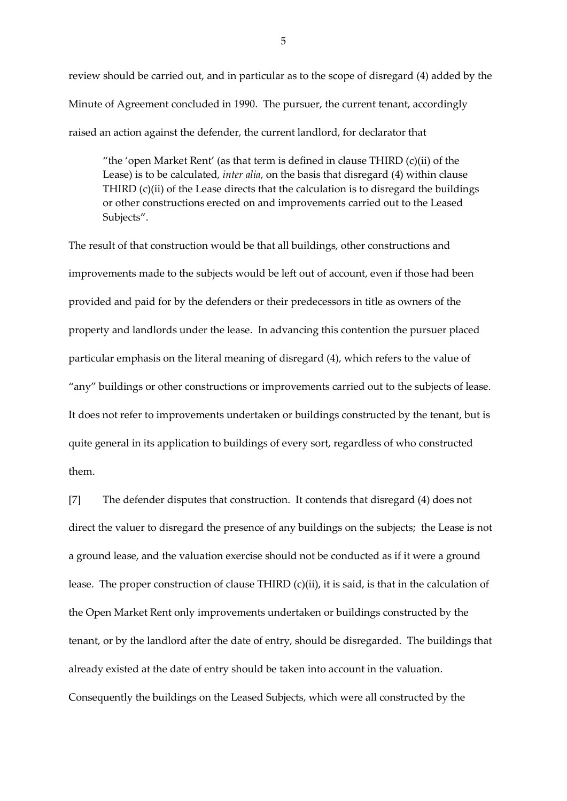review should be carried out, and in particular as to the scope of disregard (4) added by the Minute of Agreement concluded in 1990. The pursuer, the current tenant, accordingly raised an action against the defender, the current landlord, for declarator that

"the 'open Market Rent' (as that term is defined in clause THIRD (c)(ii) of the Lease) is to be calculated, *inter alia*, on the basis that disregard (4) within clause THIRD  $(c)(ii)$  of the Lease directs that the calculation is to disregard the buildings or other constructions erected on and improvements carried out to the Leased Subjects".

The result of that construction would be that all buildings, other constructions and improvements made to the subjects would be left out of account, even if those had been provided and paid for by the defenders or their predecessors in title as owners of the property and landlords under the lease. In advancing this contention the pursuer placed particular emphasis on the literal meaning of disregard (4), which refers to the value of "any" buildings or other constructions or improvements carried out to the subjects of lease. It does not refer to improvements undertaken or buildings constructed by the tenant, but is quite general in its application to buildings of every sort, regardless of who constructed them.

[7] The defender disputes that construction. It contends that disregard (4) does not direct the valuer to disregard the presence of any buildings on the subjects; the Lease is not a ground lease, and the valuation exercise should not be conducted as if it were a ground lease. The proper construction of clause THIRD (c)(ii), it is said, is that in the calculation of the Open Market Rent only improvements undertaken or buildings constructed by the tenant, or by the landlord after the date of entry, should be disregarded. The buildings that already existed at the date of entry should be taken into account in the valuation. Consequently the buildings on the Leased Subjects, which were all constructed by the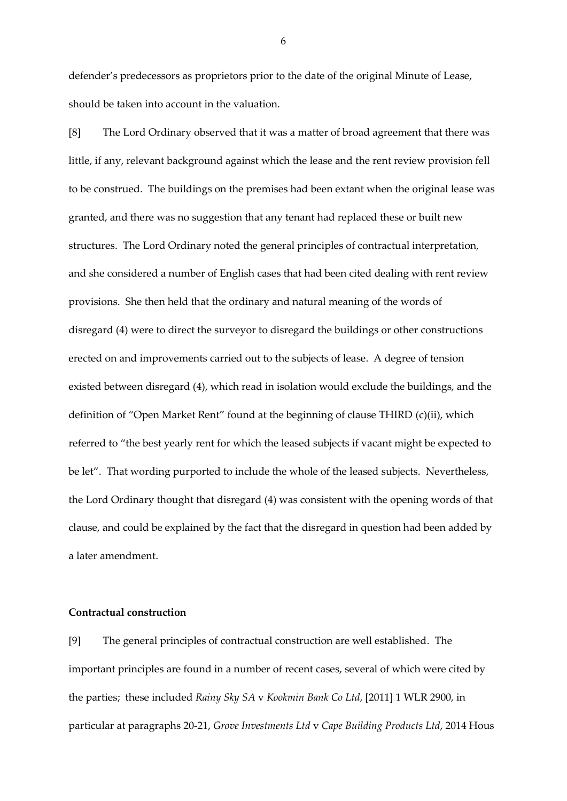defender's predecessors as proprietors prior to the date of the original Minute of Lease, should be taken into account in the valuation.

[8] The Lord Ordinary observed that it was a matter of broad agreement that there was little, if any, relevant background against which the lease and the rent review provision fell to be construed. The buildings on the premises had been extant when the original lease was granted, and there was no suggestion that any tenant had replaced these or built new structures. The Lord Ordinary noted the general principles of contractual interpretation, and she considered a number of English cases that had been cited dealing with rent review provisions. She then held that the ordinary and natural meaning of the words of disregard (4) were to direct the surveyor to disregard the buildings or other constructions erected on and improvements carried out to the subjects of lease. A degree of tension existed between disregard (4), which read in isolation would exclude the buildings, and the definition of "Open Market Rent" found at the beginning of clause THIRD (c)(ii), which referred to "the best yearly rent for which the leased subjects if vacant might be expected to be let". That wording purported to include the whole of the leased subjects. Nevertheless, the Lord Ordinary thought that disregard (4) was consistent with the opening words of that clause, and could be explained by the fact that the disregard in question had been added by a later amendment.

## **Contractual construction**

[9] The general principles of contractual construction are well established. The important principles are found in a number of recent cases, several of which were cited by the parties; these included *Rainy Sky SA* v *Kookmin Bank Co Ltd*, [2011] 1 WLR 2900, in particular at paragraphs 20-21, *Grove Investments Ltd* v *Cape Building Products Ltd*, 2014 Hous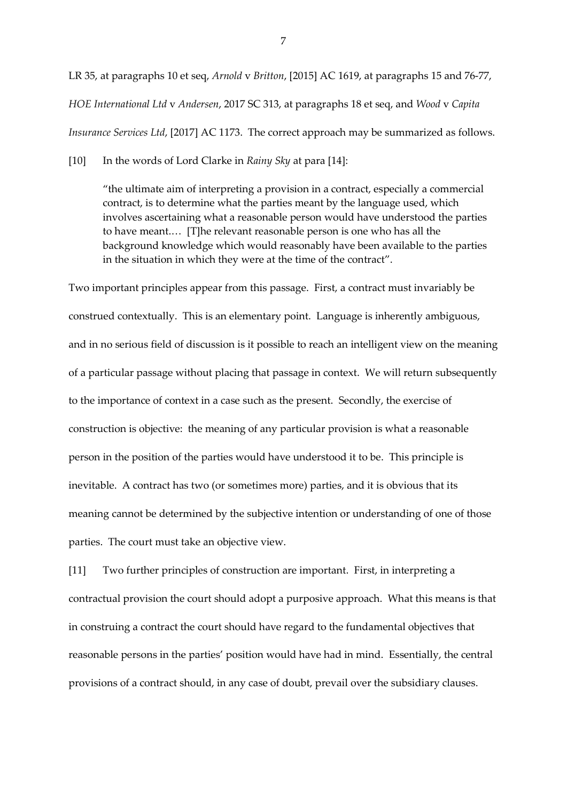LR 35, at paragraphs 10 et seq, *Arnold* v *Britton*, [2015] AC 1619, at paragraphs 15 and 76-77, *HOE International Ltd* v *Andersen*, 2017 SC 313, at paragraphs 18 et seq, and *Wood* v *Capita Insurance Services Ltd*, [2017] AC 1173. The correct approach may be summarized as follows.

[10] In the words of Lord Clarke in *Rainy Sky* at para [14]:

"the ultimate aim of interpreting a provision in a contract, especially a commercial contract, is to determine what the parties meant by the language used, which involves ascertaining what a reasonable person would have understood the parties to have meant.… [T]he relevant reasonable person is one who has all the background knowledge which would reasonably have been available to the parties in the situation in which they were at the time of the contract".

Two important principles appear from this passage. First, a contract must invariably be construed contextually. This is an elementary point. Language is inherently ambiguous, and in no serious field of discussion is it possible to reach an intelligent view on the meaning of a particular passage without placing that passage in context. We will return subsequently to the importance of context in a case such as the present. Secondly, the exercise of construction is objective: the meaning of any particular provision is what a reasonable person in the position of the parties would have understood it to be. This principle is inevitable. A contract has two (or sometimes more) parties, and it is obvious that its meaning cannot be determined by the subjective intention or understanding of one of those parties. The court must take an objective view.

[11] Two further principles of construction are important. First, in interpreting a contractual provision the court should adopt a purposive approach. What this means is that in construing a contract the court should have regard to the fundamental objectives that reasonable persons in the parties' position would have had in mind. Essentially, the central provisions of a contract should, in any case of doubt, prevail over the subsidiary clauses.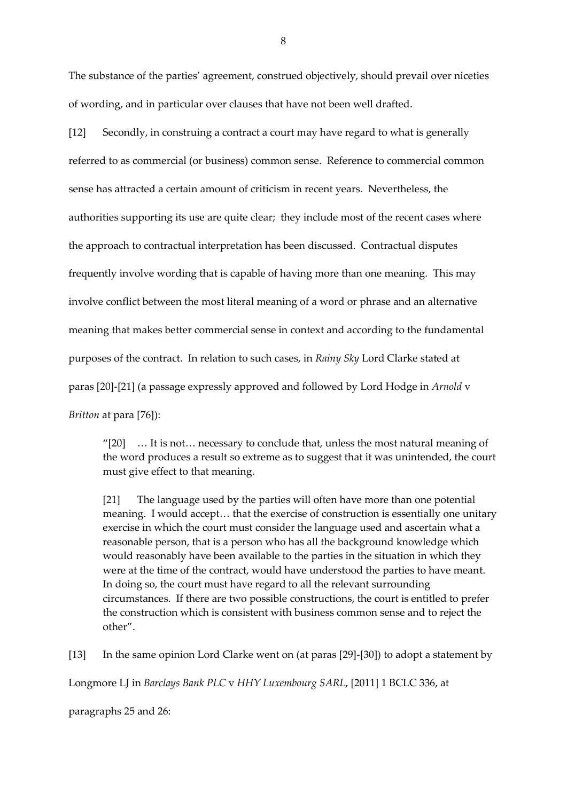The substance of the parties' agreement, construed objectively, should prevail over niceties of wording, and in particular over clauses that have not been well drafted.

[12] Secondly, in construing a contract a court may have regard to what is generally referred to as commercial (or business) common sense. Reference to commercial common sense has attracted a certain amount of criticism in recent years. Nevertheless, the authorities supporting its use are quite clear; they include most of the recent cases where the approach to contractual interpretation has been discussed. Contractual disputes frequently involve wording that is capable of having more than one meaning. This may involve conflict between the most literal meaning of a word or phrase and an alternative meaning that makes better commercial sense in context and according to the fundamental purposes of the contract. In relation to such cases, in *Rainy Sky* Lord Clarke stated at paras [20]-[21] (a passage expressly approved and followed by Lord Hodge in *Arnold* v *Britton* at para [76]):

"[20] … It is not… necessary to conclude that, unless the most natural meaning of the word produces a result so extreme as to suggest that it was unintended, the court must give effect to that meaning.

[21] The language used by the parties will often have more than one potential meaning. I would accept… that the exercise of construction is essentially one unitary exercise in which the court must consider the language used and ascertain what a reasonable person, that is a person who has all the background knowledge which would reasonably have been available to the parties in the situation in which they were at the time of the contract, would have understood the parties to have meant. In doing so, the court must have regard to all the relevant surrounding circumstances. If there are two possible constructions, the court is entitled to prefer the construction which is consistent with business common sense and to reject the other".

[13] In the same opinion Lord Clarke went on (at paras [29]-[30]) to adopt a statement by Longmore LJ in *Barclays Bank PLC* v *HHY Luxembourg SARL*, [2011] 1 BCLC 336, at

paragraphs 25 and 26: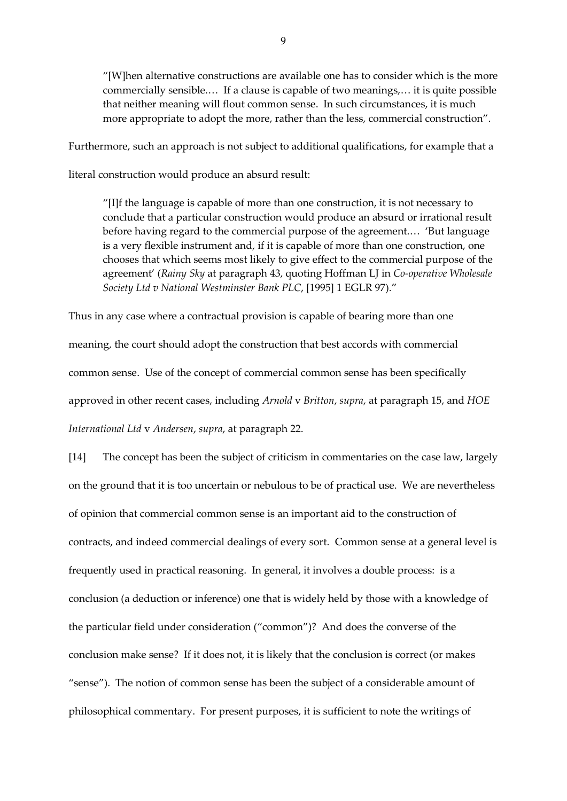"[W]hen alternative constructions are available one has to consider which is the more commercially sensible.… If a clause is capable of two meanings,… it is quite possible that neither meaning will flout common sense. In such circumstances, it is much more appropriate to adopt the more, rather than the less, commercial construction".

Furthermore, such an approach is not subject to additional qualifications, for example that a

literal construction would produce an absurd result:

"[I]f the language is capable of more than one construction, it is not necessary to conclude that a particular construction would produce an absurd or irrational result before having regard to the commercial purpose of the agreement.… 'But language is a very flexible instrument and, if it is capable of more than one construction, one chooses that which seems most likely to give effect to the commercial purpose of the agreement' (*Rainy Sky* at paragraph 43, quoting Hoffman LJ in *Co-operative Wholesale Society Ltd v National Westminster Bank PLC*, [1995] 1 EGLR 97)."

Thus in any case where a contractual provision is capable of bearing more than one meaning, the court should adopt the construction that best accords with commercial common sense. Use of the concept of commercial common sense has been specifically approved in other recent cases, including *Arnold* v *Britton*, *supra*, at paragraph 15, and *HOE International Ltd* v *Andersen*, *supra*, at paragraph 22.

[14] The concept has been the subject of criticism in commentaries on the case law, largely on the ground that it is too uncertain or nebulous to be of practical use. We are nevertheless of opinion that commercial common sense is an important aid to the construction of contracts, and indeed commercial dealings of every sort. Common sense at a general level is frequently used in practical reasoning. In general, it involves a double process: is a conclusion (a deduction or inference) one that is widely held by those with a knowledge of the particular field under consideration ("common")? And does the converse of the conclusion make sense? If it does not, it is likely that the conclusion is correct (or makes "sense"). The notion of common sense has been the subject of a considerable amount of philosophical commentary. For present purposes, it is sufficient to note the writings of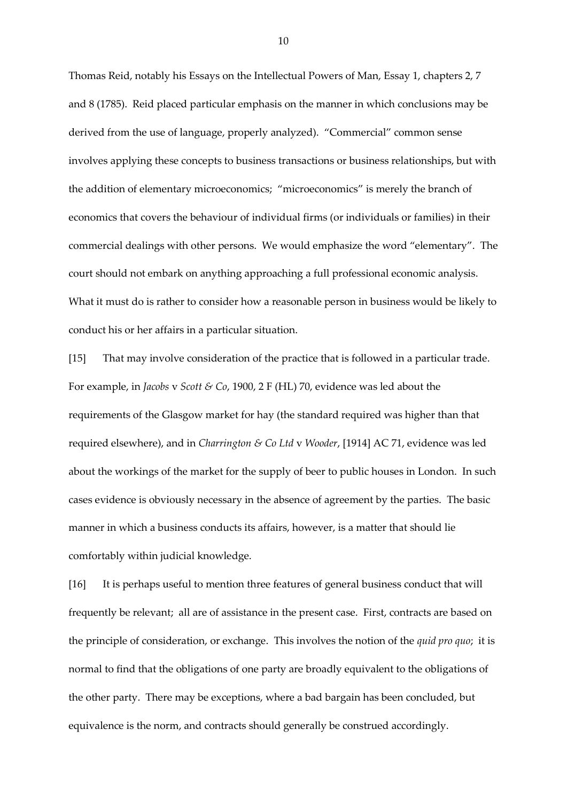Thomas Reid, notably his Essays on the Intellectual Powers of Man, Essay 1, chapters 2, 7 and 8 (1785). Reid placed particular emphasis on the manner in which conclusions may be derived from the use of language, properly analyzed). "Commercial" common sense involves applying these concepts to business transactions or business relationships, but with the addition of elementary microeconomics; "microeconomics" is merely the branch of economics that covers the behaviour of individual firms (or individuals or families) in their commercial dealings with other persons. We would emphasize the word "elementary". The court should not embark on anything approaching a full professional economic analysis. What it must do is rather to consider how a reasonable person in business would be likely to conduct his or her affairs in a particular situation.

[15] That may involve consideration of the practice that is followed in a particular trade. For example, in *Jacobs* v *Scott & Co*, 1900, 2 F (HL) 70, evidence was led about the requirements of the Glasgow market for hay (the standard required was higher than that required elsewhere), and in *Charrington & Co Ltd* v *Wooder*, [1914] AC 71, evidence was led about the workings of the market for the supply of beer to public houses in London. In such cases evidence is obviously necessary in the absence of agreement by the parties. The basic manner in which a business conducts its affairs, however, is a matter that should lie comfortably within judicial knowledge.

[16] It is perhaps useful to mention three features of general business conduct that will frequently be relevant; all are of assistance in the present case. First, contracts are based on the principle of consideration, or exchange. This involves the notion of the *quid pro quo*; it is normal to find that the obligations of one party are broadly equivalent to the obligations of the other party. There may be exceptions, where a bad bargain has been concluded, but equivalence is the norm, and contracts should generally be construed accordingly.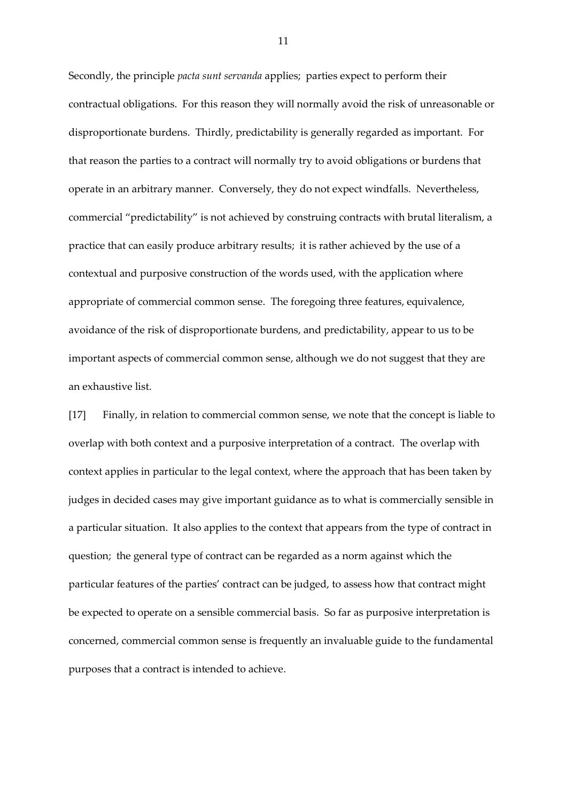Secondly, the principle *pacta sunt servanda* applies; parties expect to perform their contractual obligations. For this reason they will normally avoid the risk of unreasonable or disproportionate burdens. Thirdly, predictability is generally regarded as important. For that reason the parties to a contract will normally try to avoid obligations or burdens that operate in an arbitrary manner. Conversely, they do not expect windfalls. Nevertheless, commercial "predictability" is not achieved by construing contracts with brutal literalism, a practice that can easily produce arbitrary results; it is rather achieved by the use of a contextual and purposive construction of the words used, with the application where appropriate of commercial common sense. The foregoing three features, equivalence, avoidance of the risk of disproportionate burdens, and predictability, appear to us to be important aspects of commercial common sense, although we do not suggest that they are an exhaustive list.

[17] Finally, in relation to commercial common sense, we note that the concept is liable to overlap with both context and a purposive interpretation of a contract. The overlap with context applies in particular to the legal context, where the approach that has been taken by judges in decided cases may give important guidance as to what is commercially sensible in a particular situation. It also applies to the context that appears from the type of contract in question; the general type of contract can be regarded as a norm against which the particular features of the parties' contract can be judged, to assess how that contract might be expected to operate on a sensible commercial basis. So far as purposive interpretation is concerned, commercial common sense is frequently an invaluable guide to the fundamental purposes that a contract is intended to achieve.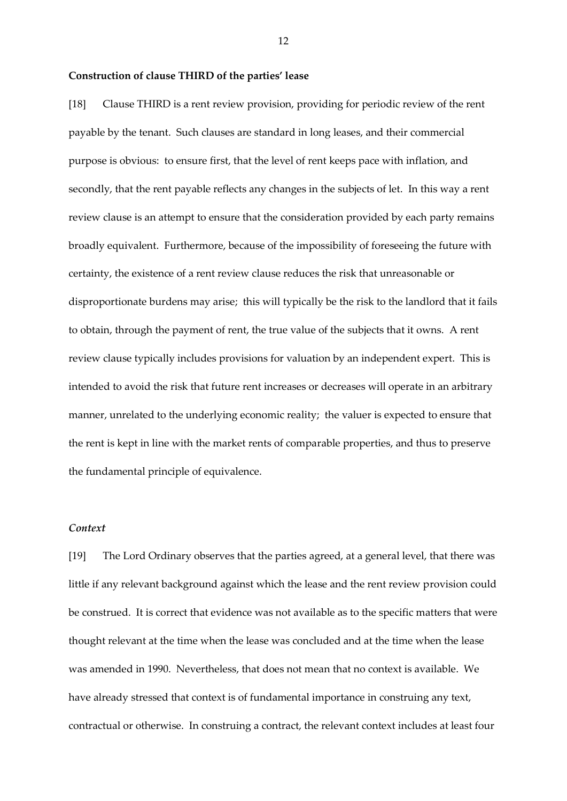#### **Construction of clause THIRD of the parties' lease**

[18] Clause THIRD is a rent review provision, providing for periodic review of the rent payable by the tenant. Such clauses are standard in long leases, and their commercial purpose is obvious: to ensure first, that the level of rent keeps pace with inflation, and secondly, that the rent payable reflects any changes in the subjects of let. In this way a rent review clause is an attempt to ensure that the consideration provided by each party remains broadly equivalent. Furthermore, because of the impossibility of foreseeing the future with certainty, the existence of a rent review clause reduces the risk that unreasonable or disproportionate burdens may arise; this will typically be the risk to the landlord that it fails to obtain, through the payment of rent, the true value of the subjects that it owns. A rent review clause typically includes provisions for valuation by an independent expert. This is intended to avoid the risk that future rent increases or decreases will operate in an arbitrary manner, unrelated to the underlying economic reality; the valuer is expected to ensure that the rent is kept in line with the market rents of comparable properties, and thus to preserve the fundamental principle of equivalence.

## *Context*

[19] The Lord Ordinary observes that the parties agreed, at a general level, that there was little if any relevant background against which the lease and the rent review provision could be construed. It is correct that evidence was not available as to the specific matters that were thought relevant at the time when the lease was concluded and at the time when the lease was amended in 1990. Nevertheless, that does not mean that no context is available. We have already stressed that context is of fundamental importance in construing any text, contractual or otherwise. In construing a contract, the relevant context includes at least four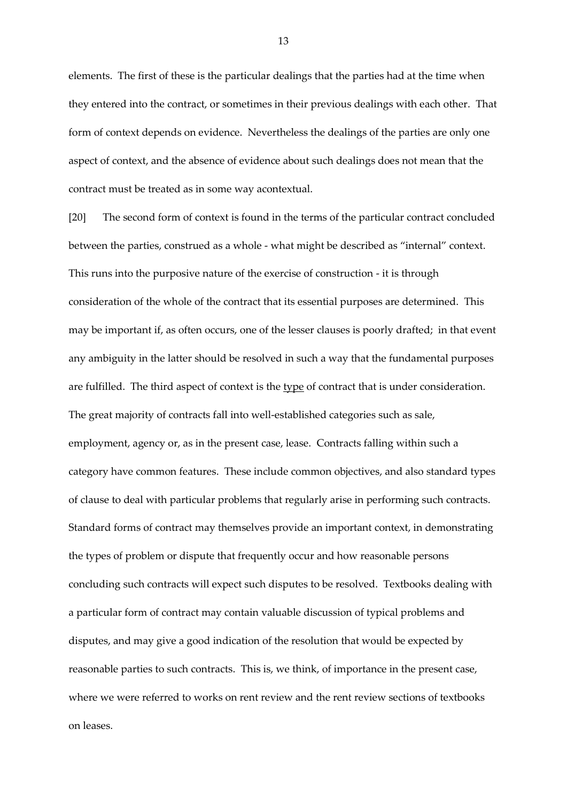elements. The first of these is the particular dealings that the parties had at the time when they entered into the contract, or sometimes in their previous dealings with each other. That form of context depends on evidence. Nevertheless the dealings of the parties are only one aspect of context, and the absence of evidence about such dealings does not mean that the contract must be treated as in some way acontextual.

[20] The second form of context is found in the terms of the particular contract concluded between the parties, construed as a whole - what might be described as "internal" context. This runs into the purposive nature of the exercise of construction - it is through consideration of the whole of the contract that its essential purposes are determined. This may be important if, as often occurs, one of the lesser clauses is poorly drafted; in that event any ambiguity in the latter should be resolved in such a way that the fundamental purposes are fulfilled. The third aspect of context is the type of contract that is under consideration. The great majority of contracts fall into well-established categories such as sale, employment, agency or, as in the present case, lease. Contracts falling within such a category have common features. These include common objectives, and also standard types of clause to deal with particular problems that regularly arise in performing such contracts. Standard forms of contract may themselves provide an important context, in demonstrating the types of problem or dispute that frequently occur and how reasonable persons concluding such contracts will expect such disputes to be resolved. Textbooks dealing with a particular form of contract may contain valuable discussion of typical problems and disputes, and may give a good indication of the resolution that would be expected by reasonable parties to such contracts. This is, we think, of importance in the present case, where we were referred to works on rent review and the rent review sections of textbooks on leases.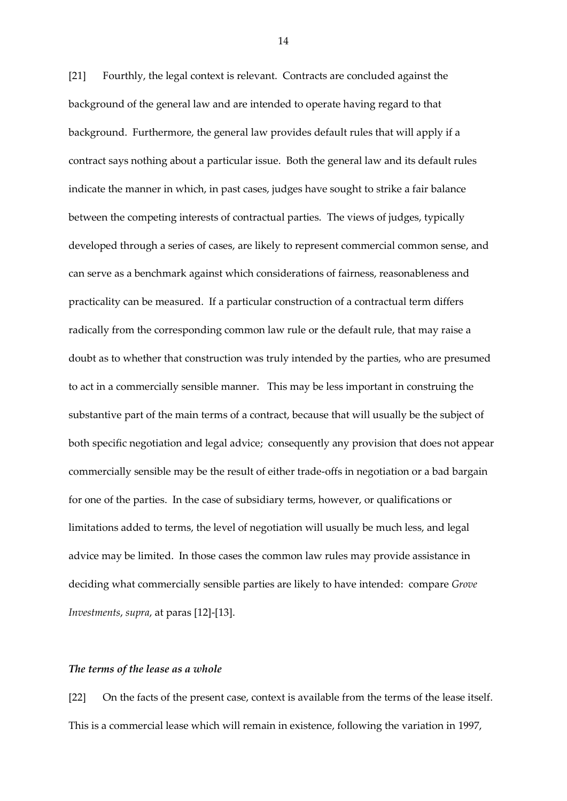[21] Fourthly, the legal context is relevant. Contracts are concluded against the background of the general law and are intended to operate having regard to that background. Furthermore, the general law provides default rules that will apply if a contract says nothing about a particular issue. Both the general law and its default rules indicate the manner in which, in past cases, judges have sought to strike a fair balance between the competing interests of contractual parties. The views of judges, typically developed through a series of cases, are likely to represent commercial common sense, and can serve as a benchmark against which considerations of fairness, reasonableness and practicality can be measured. If a particular construction of a contractual term differs radically from the corresponding common law rule or the default rule, that may raise a doubt as to whether that construction was truly intended by the parties, who are presumed to act in a commercially sensible manner. This may be less important in construing the substantive part of the main terms of a contract, because that will usually be the subject of both specific negotiation and legal advice; consequently any provision that does not appear commercially sensible may be the result of either trade-offs in negotiation or a bad bargain for one of the parties. In the case of subsidiary terms, however, or qualifications or limitations added to terms, the level of negotiation will usually be much less, and legal advice may be limited. In those cases the common law rules may provide assistance in deciding what commercially sensible parties are likely to have intended: compare *Grove Investments*, *supra*, at paras [12]-[13].

### *The terms of the lease as a whole*

[22] On the facts of the present case, context is available from the terms of the lease itself. This is a commercial lease which will remain in existence, following the variation in 1997,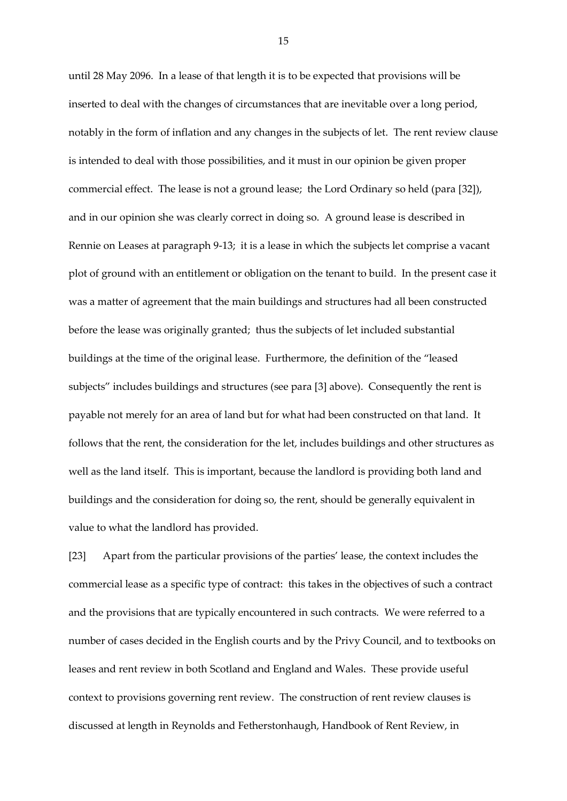until 28 May 2096. In a lease of that length it is to be expected that provisions will be inserted to deal with the changes of circumstances that are inevitable over a long period, notably in the form of inflation and any changes in the subjects of let. The rent review clause is intended to deal with those possibilities, and it must in our opinion be given proper commercial effect. The lease is not a ground lease; the Lord Ordinary so held (para [32]), and in our opinion she was clearly correct in doing so. A ground lease is described in Rennie on Leases at paragraph 9-13; it is a lease in which the subjects let comprise a vacant plot of ground with an entitlement or obligation on the tenant to build. In the present case it was a matter of agreement that the main buildings and structures had all been constructed before the lease was originally granted; thus the subjects of let included substantial buildings at the time of the original lease. Furthermore, the definition of the "leased subjects" includes buildings and structures (see para [3] above). Consequently the rent is payable not merely for an area of land but for what had been constructed on that land. It follows that the rent, the consideration for the let, includes buildings and other structures as well as the land itself. This is important, because the landlord is providing both land and buildings and the consideration for doing so, the rent, should be generally equivalent in value to what the landlord has provided.

[23] Apart from the particular provisions of the parties' lease, the context includes the commercial lease as a specific type of contract: this takes in the objectives of such a contract and the provisions that are typically encountered in such contracts. We were referred to a number of cases decided in the English courts and by the Privy Council, and to textbooks on leases and rent review in both Scotland and England and Wales. These provide useful context to provisions governing rent review. The construction of rent review clauses is discussed at length in Reynolds and Fetherstonhaugh, Handbook of Rent Review, in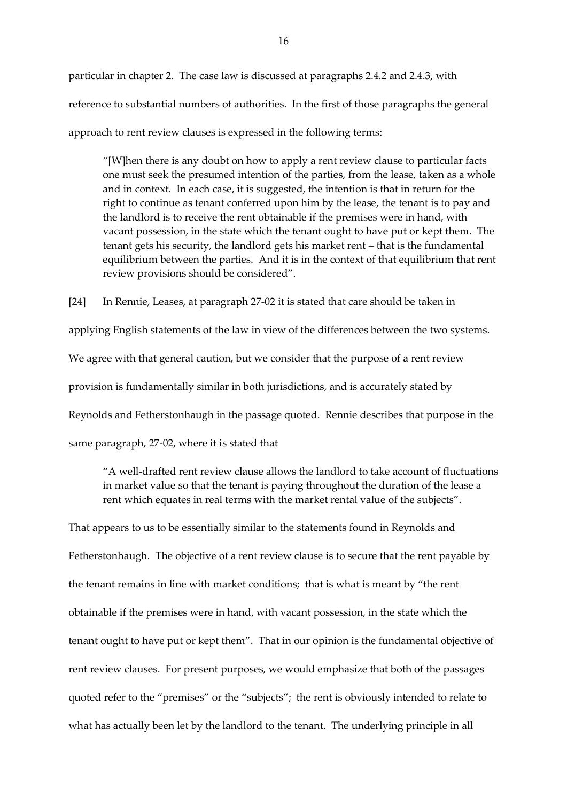particular in chapter 2. The case law is discussed at paragraphs 2.4.2 and 2.4.3, with reference to substantial numbers of authorities. In the first of those paragraphs the general approach to rent review clauses is expressed in the following terms:

"[W]hen there is any doubt on how to apply a rent review clause to particular facts one must seek the presumed intention of the parties, from the lease, taken as a whole and in context. In each case, it is suggested, the intention is that in return for the right to continue as tenant conferred upon him by the lease, the tenant is to pay and the landlord is to receive the rent obtainable if the premises were in hand, with vacant possession, in the state which the tenant ought to have put or kept them. The tenant gets his security, the landlord gets his market rent – that is the fundamental equilibrium between the parties. And it is in the context of that equilibrium that rent review provisions should be considered".

[24] In Rennie, Leases, at paragraph 27-02 it is stated that care should be taken in applying English statements of the law in view of the differences between the two systems. We agree with that general caution, but we consider that the purpose of a rent review provision is fundamentally similar in both jurisdictions, and is accurately stated by Reynolds and Fetherstonhaugh in the passage quoted. Rennie describes that purpose in the same paragraph, 27-02, where it is stated that

"A well-drafted rent review clause allows the landlord to take account of fluctuations in market value so that the tenant is paying throughout the duration of the lease a rent which equates in real terms with the market rental value of the subjects".

That appears to us to be essentially similar to the statements found in Reynolds and Fetherstonhaugh. The objective of a rent review clause is to secure that the rent payable by the tenant remains in line with market conditions; that is what is meant by "the rent obtainable if the premises were in hand, with vacant possession, in the state which the tenant ought to have put or kept them". That in our opinion is the fundamental objective of rent review clauses. For present purposes, we would emphasize that both of the passages quoted refer to the "premises" or the "subjects"; the rent is obviously intended to relate to what has actually been let by the landlord to the tenant. The underlying principle in all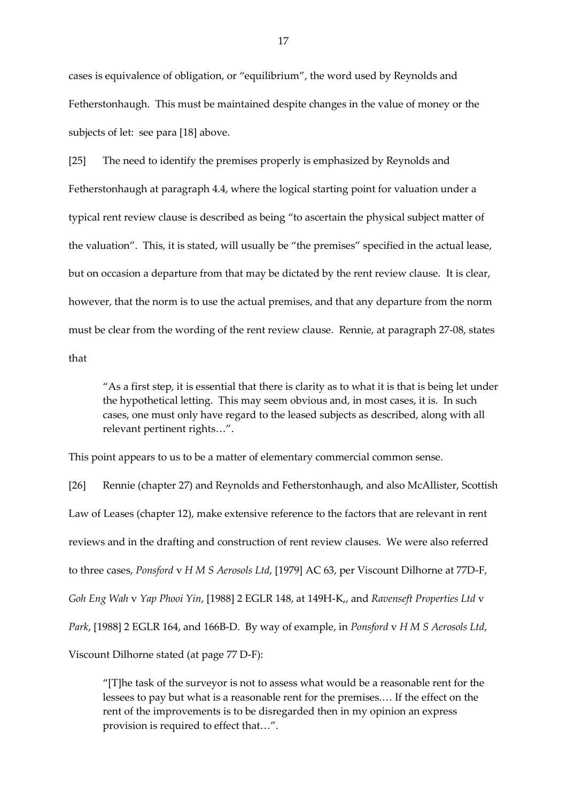cases is equivalence of obligation, or "equilibrium", the word used by Reynolds and Fetherstonhaugh. This must be maintained despite changes in the value of money or the subjects of let: see para [18] above.

[25] The need to identify the premises properly is emphasized by Reynolds and Fetherstonhaugh at paragraph 4.4, where the logical starting point for valuation under a typical rent review clause is described as being "to ascertain the physical subject matter of the valuation". This, it is stated, will usually be "the premises" specified in the actual lease, but on occasion a departure from that may be dictated by the rent review clause. It is clear, however, that the norm is to use the actual premises, and that any departure from the norm must be clear from the wording of the rent review clause. Rennie, at paragraph 27-08, states that

"As a first step, it is essential that there is clarity as to what it is that is being let under the hypothetical letting. This may seem obvious and, in most cases, it is. In such cases, one must only have regard to the leased subjects as described, along with all relevant pertinent rights…".

This point appears to us to be a matter of elementary commercial common sense.

[26] Rennie (chapter 27) and Reynolds and Fetherstonhaugh, and also McAllister, Scottish Law of Leases (chapter 12), make extensive reference to the factors that are relevant in rent reviews and in the drafting and construction of rent review clauses. We were also referred to three cases, *Ponsford* v *H M S Aerosols Ltd*, [1979] AC 63, per Viscount Dilhorne at 77D-F, *Goh Eng Wah* v *Yap Phooi Yin*, [1988] 2 EGLR 148, at 149H-K,, and *Ravenseft Properties Ltd* v *Park*, [1988] 2 EGLR 164, and 166B-D. By way of example, in *Ponsford* v *H M S Aerosols Ltd*, Viscount Dilhorne stated (at page 77 D-F):

"[T]he task of the surveyor is not to assess what would be a reasonable rent for the lessees to pay but what is a reasonable rent for the premises.… If the effect on the rent of the improvements is to be disregarded then in my opinion an express provision is required to effect that…".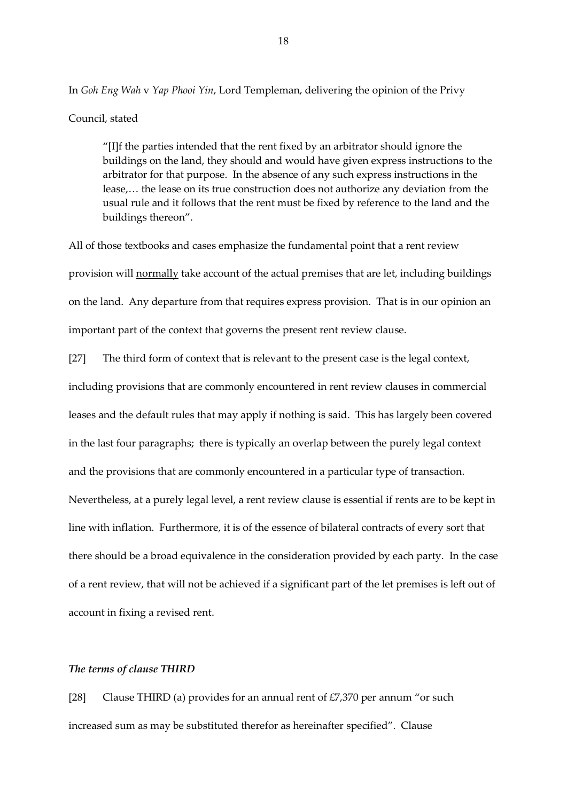In *Goh Eng Wah* v *Yap Phooi Yin*, Lord Templeman, delivering the opinion of the Privy

### Council, stated

"[I]f the parties intended that the rent fixed by an arbitrator should ignore the buildings on the land, they should and would have given express instructions to the arbitrator for that purpose. In the absence of any such express instructions in the lease,… the lease on its true construction does not authorize any deviation from the usual rule and it follows that the rent must be fixed by reference to the land and the buildings thereon".

All of those textbooks and cases emphasize the fundamental point that a rent review provision will normally take account of the actual premises that are let, including buildings on the land. Any departure from that requires express provision. That is in our opinion an important part of the context that governs the present rent review clause.

[27] The third form of context that is relevant to the present case is the legal context, including provisions that are commonly encountered in rent review clauses in commercial leases and the default rules that may apply if nothing is said. This has largely been covered in the last four paragraphs; there is typically an overlap between the purely legal context and the provisions that are commonly encountered in a particular type of transaction. Nevertheless, at a purely legal level, a rent review clause is essential if rents are to be kept in line with inflation. Furthermore, it is of the essence of bilateral contracts of every sort that there should be a broad equivalence in the consideration provided by each party. In the case of a rent review, that will not be achieved if a significant part of the let premises is left out of account in fixing a revised rent.

## *The terms of clause THIRD*

[28] Clause THIRD (a) provides for an annual rent of  $E7,370$  per annum "or such increased sum as may be substituted therefor as hereinafter specified". Clause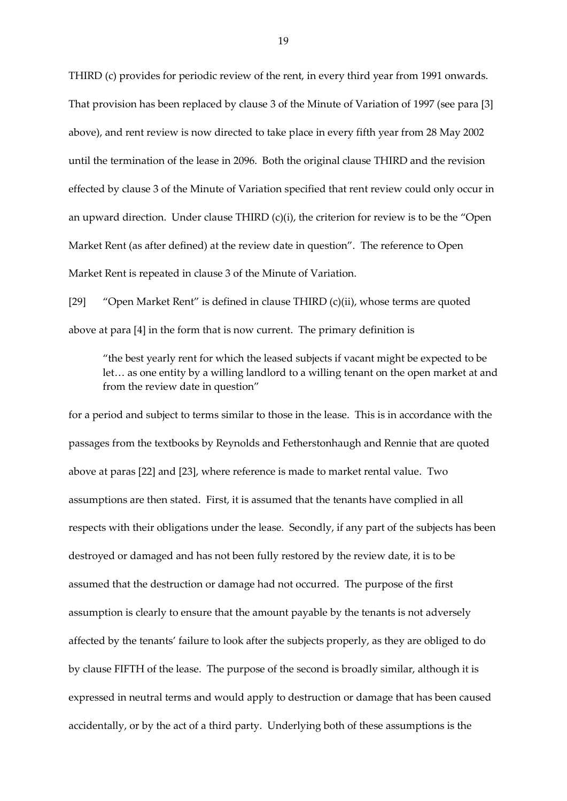THIRD (c) provides for periodic review of the rent, in every third year from 1991 onwards. That provision has been replaced by clause 3 of the Minute of Variation of 1997 (see para [3] above), and rent review is now directed to take place in every fifth year from 28 May 2002 until the termination of the lease in 2096. Both the original clause THIRD and the revision effected by clause 3 of the Minute of Variation specified that rent review could only occur in an upward direction. Under clause THIRD (c)(i), the criterion for review is to be the "Open Market Rent (as after defined) at the review date in question". The reference to Open Market Rent is repeated in clause 3 of the Minute of Variation.

[29] "Open Market Rent" is defined in clause THIRD (c)(ii), whose terms are quoted above at para [4] in the form that is now current. The primary definition is

"the best yearly rent for which the leased subjects if vacant might be expected to be let… as one entity by a willing landlord to a willing tenant on the open market at and from the review date in question"

for a period and subject to terms similar to those in the lease. This is in accordance with the passages from the textbooks by Reynolds and Fetherstonhaugh and Rennie that are quoted above at paras [22] and [23], where reference is made to market rental value. Two assumptions are then stated. First, it is assumed that the tenants have complied in all respects with their obligations under the lease. Secondly, if any part of the subjects has been destroyed or damaged and has not been fully restored by the review date, it is to be assumed that the destruction or damage had not occurred. The purpose of the first assumption is clearly to ensure that the amount payable by the tenants is not adversely affected by the tenants' failure to look after the subjects properly, as they are obliged to do by clause FIFTH of the lease. The purpose of the second is broadly similar, although it is expressed in neutral terms and would apply to destruction or damage that has been caused accidentally, or by the act of a third party. Underlying both of these assumptions is the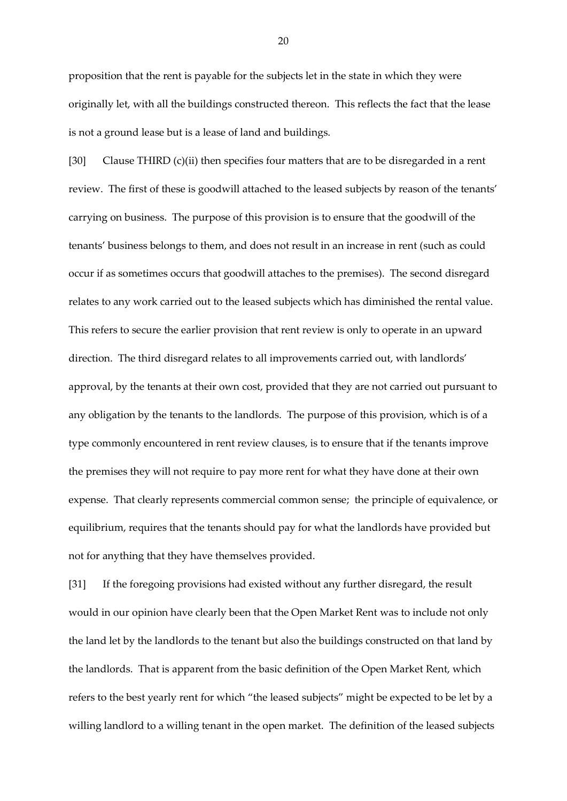proposition that the rent is payable for the subjects let in the state in which they were originally let, with all the buildings constructed thereon. This reflects the fact that the lease is not a ground lease but is a lease of land and buildings.

[30] Clause THIRD (c)(ii) then specifies four matters that are to be disregarded in a rent review. The first of these is goodwill attached to the leased subjects by reason of the tenants' carrying on business. The purpose of this provision is to ensure that the goodwill of the tenants' business belongs to them, and does not result in an increase in rent (such as could occur if as sometimes occurs that goodwill attaches to the premises). The second disregard relates to any work carried out to the leased subjects which has diminished the rental value. This refers to secure the earlier provision that rent review is only to operate in an upward direction. The third disregard relates to all improvements carried out, with landlords' approval, by the tenants at their own cost, provided that they are not carried out pursuant to any obligation by the tenants to the landlords. The purpose of this provision, which is of a type commonly encountered in rent review clauses, is to ensure that if the tenants improve the premises they will not require to pay more rent for what they have done at their own expense. That clearly represents commercial common sense; the principle of equivalence, or equilibrium, requires that the tenants should pay for what the landlords have provided but not for anything that they have themselves provided.

[31] If the foregoing provisions had existed without any further disregard, the result would in our opinion have clearly been that the Open Market Rent was to include not only the land let by the landlords to the tenant but also the buildings constructed on that land by the landlords. That is apparent from the basic definition of the Open Market Rent, which refers to the best yearly rent for which "the leased subjects" might be expected to be let by a willing landlord to a willing tenant in the open market. The definition of the leased subjects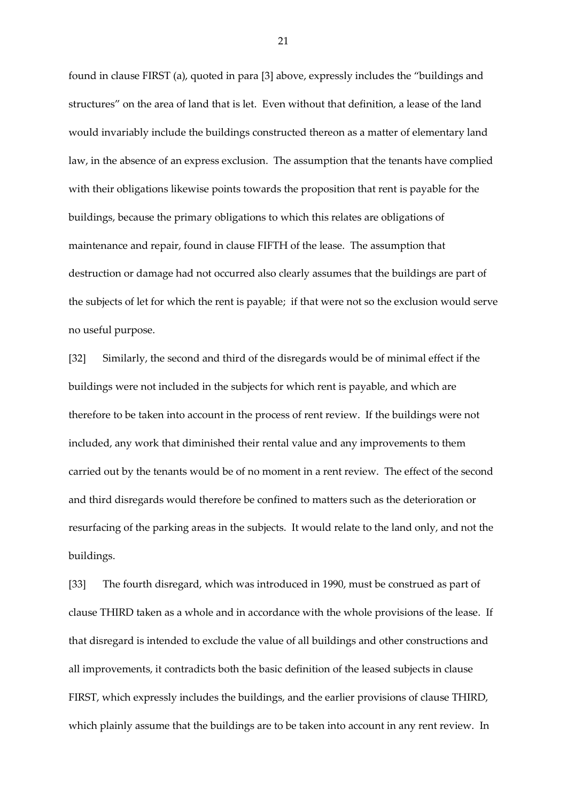found in clause FIRST (a), quoted in para [3] above, expressly includes the "buildings and structures" on the area of land that is let. Even without that definition, a lease of the land would invariably include the buildings constructed thereon as a matter of elementary land law, in the absence of an express exclusion. The assumption that the tenants have complied with their obligations likewise points towards the proposition that rent is payable for the buildings, because the primary obligations to which this relates are obligations of maintenance and repair, found in clause FIFTH of the lease. The assumption that destruction or damage had not occurred also clearly assumes that the buildings are part of the subjects of let for which the rent is payable; if that were not so the exclusion would serve no useful purpose.

[32] Similarly, the second and third of the disregards would be of minimal effect if the buildings were not included in the subjects for which rent is payable, and which are therefore to be taken into account in the process of rent review. If the buildings were not included, any work that diminished their rental value and any improvements to them carried out by the tenants would be of no moment in a rent review. The effect of the second and third disregards would therefore be confined to matters such as the deterioration or resurfacing of the parking areas in the subjects. It would relate to the land only, and not the buildings.

[33] The fourth disregard, which was introduced in 1990, must be construed as part of clause THIRD taken as a whole and in accordance with the whole provisions of the lease. If that disregard is intended to exclude the value of all buildings and other constructions and all improvements, it contradicts both the basic definition of the leased subjects in clause FIRST, which expressly includes the buildings, and the earlier provisions of clause THIRD, which plainly assume that the buildings are to be taken into account in any rent review. In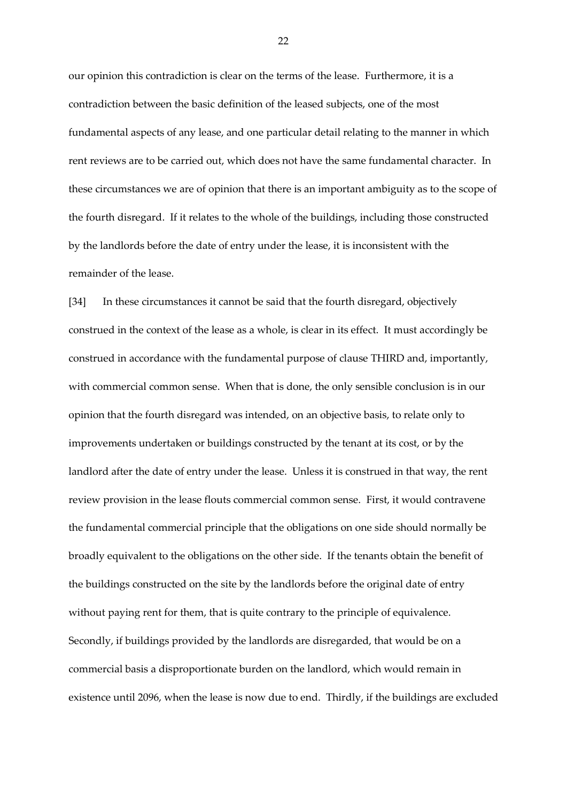our opinion this contradiction is clear on the terms of the lease. Furthermore, it is a contradiction between the basic definition of the leased subjects, one of the most fundamental aspects of any lease, and one particular detail relating to the manner in which rent reviews are to be carried out, which does not have the same fundamental character. In these circumstances we are of opinion that there is an important ambiguity as to the scope of the fourth disregard. If it relates to the whole of the buildings, including those constructed by the landlords before the date of entry under the lease, it is inconsistent with the remainder of the lease.

[34] In these circumstances it cannot be said that the fourth disregard, objectively construed in the context of the lease as a whole, is clear in its effect. It must accordingly be construed in accordance with the fundamental purpose of clause THIRD and, importantly, with commercial common sense. When that is done, the only sensible conclusion is in our opinion that the fourth disregard was intended, on an objective basis, to relate only to improvements undertaken or buildings constructed by the tenant at its cost, or by the landlord after the date of entry under the lease. Unless it is construed in that way, the rent review provision in the lease flouts commercial common sense. First, it would contravene the fundamental commercial principle that the obligations on one side should normally be broadly equivalent to the obligations on the other side. If the tenants obtain the benefit of the buildings constructed on the site by the landlords before the original date of entry without paying rent for them, that is quite contrary to the principle of equivalence. Secondly, if buildings provided by the landlords are disregarded, that would be on a commercial basis a disproportionate burden on the landlord, which would remain in existence until 2096, when the lease is now due to end. Thirdly, if the buildings are excluded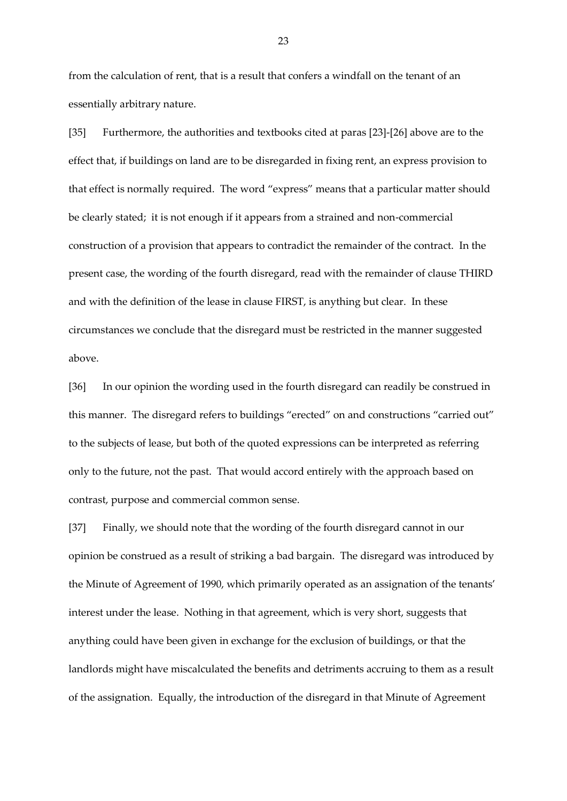from the calculation of rent, that is a result that confers a windfall on the tenant of an essentially arbitrary nature.

[35] Furthermore, the authorities and textbooks cited at paras [23]-[26] above are to the effect that, if buildings on land are to be disregarded in fixing rent, an express provision to that effect is normally required. The word "express" means that a particular matter should be clearly stated; it is not enough if it appears from a strained and non-commercial construction of a provision that appears to contradict the remainder of the contract. In the present case, the wording of the fourth disregard, read with the remainder of clause THIRD and with the definition of the lease in clause FIRST, is anything but clear. In these circumstances we conclude that the disregard must be restricted in the manner suggested above.

[36] In our opinion the wording used in the fourth disregard can readily be construed in this manner. The disregard refers to buildings "erected" on and constructions "carried out" to the subjects of lease, but both of the quoted expressions can be interpreted as referring only to the future, not the past. That would accord entirely with the approach based on contrast, purpose and commercial common sense.

[37] Finally, we should note that the wording of the fourth disregard cannot in our opinion be construed as a result of striking a bad bargain. The disregard was introduced by the Minute of Agreement of 1990, which primarily operated as an assignation of the tenants' interest under the lease. Nothing in that agreement, which is very short, suggests that anything could have been given in exchange for the exclusion of buildings, or that the landlords might have miscalculated the benefits and detriments accruing to them as a result of the assignation. Equally, the introduction of the disregard in that Minute of Agreement